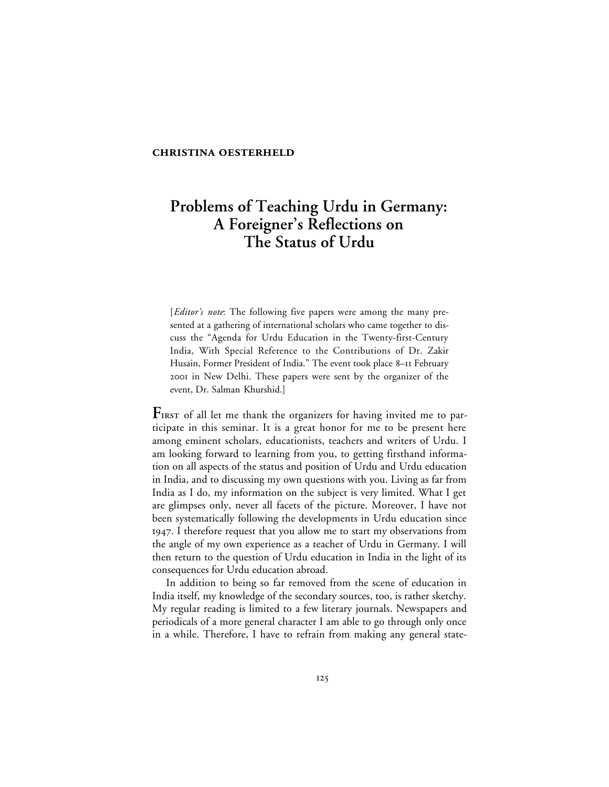#### **CHRISTINA OESTERHELD**

# **Problems of Teaching Urdu in Germany: A Foreigner's Reflections on The Status of Urdu**

[*Editor's note*: The following five papers were among the many presented at a gathering of international scholars who came together to discuss the "Agenda for Urdu Education in the Twenty-first-Century India, With Special Reference to the Contributions of Dr. Zakir Husain, Former President of India." The event took place 8–11 February 2001 in New Delhi. These papers were sent by the organizer of the event, Dr. Salman Khurshid.]

FIRST of all let me thank the organizers for having invited me to participate in this seminar. It is a great honor for me to be present here among eminent scholars, educationists, teachers and writers of Urdu. I am looking forward to learning from you, to getting firsthand information on all aspects of the status and position of Urdu and Urdu education in India, and to discussing my own questions with you. Living as far from India as I do, my information on the subject is very limited. What I get are glimpses only, never all facets of the picture. Moreover, I have not been systematically following the developments in Urdu education since . I therefore request that you allow me to start my observations from the angle of my own experience as a teacher of Urdu in Germany. I will then return to the question of Urdu education in India in the light of its consequences for Urdu education abroad.

In addition to being so far removed from the scene of education in India itself, my knowledge of the secondary sources, too, is rather sketchy. My regular reading is limited to a few literary journals. Newspapers and periodicals of a more general character I am able to go through only once in a while. Therefore, I have to refrain from making any general state-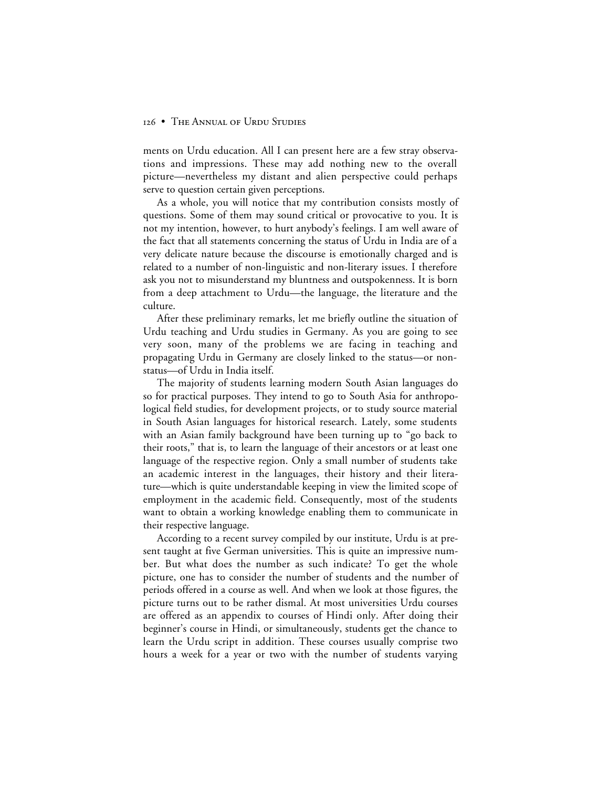ments on Urdu education. All I can present here are a few stray observations and impressions. These may add nothing new to the overall picture—nevertheless my distant and alien perspective could perhaps serve to question certain given perceptions.

As a whole, you will notice that my contribution consists mostly of questions. Some of them may sound critical or provocative to you. It is not my intention, however, to hurt anybody's feelings. I am well aware of the fact that all statements concerning the status of Urdu in India are of a very delicate nature because the discourse is emotionally charged and is related to a number of non-linguistic and non-literary issues. I therefore ask you not to misunderstand my bluntness and outspokenness. It is born from a deep attachment to Urdu—the language, the literature and the culture.

After these preliminary remarks, let me briefly outline the situation of Urdu teaching and Urdu studies in Germany. As you are going to see very soon, many of the problems we are facing in teaching and propagating Urdu in Germany are closely linked to the status—or nonstatus—of Urdu in India itself.

The majority of students learning modern South Asian languages do so for practical purposes. They intend to go to South Asia for anthropological field studies, for development projects, or to study source material in South Asian languages for historical research. Lately, some students with an Asian family background have been turning up to "go back to their roots," that is, to learn the language of their ancestors or at least one language of the respective region. Only a small number of students take an academic interest in the languages, their history and their literature—which is quite understandable keeping in view the limited scope of employment in the academic field. Consequently, most of the students want to obtain a working knowledge enabling them to communicate in their respective language.

According to a recent survey compiled by our institute, Urdu is at present taught at five German universities. This is quite an impressive number. But what does the number as such indicate? To get the whole picture, one has to consider the number of students and the number of periods offered in a course as well. And when we look at those figures, the picture turns out to be rather dismal. At most universities Urdu courses are offered as an appendix to courses of Hindi only. After doing their beginner's course in Hindi, or simultaneously, students get the chance to learn the Urdu script in addition. These courses usually comprise two hours a week for a year or two with the number of students varying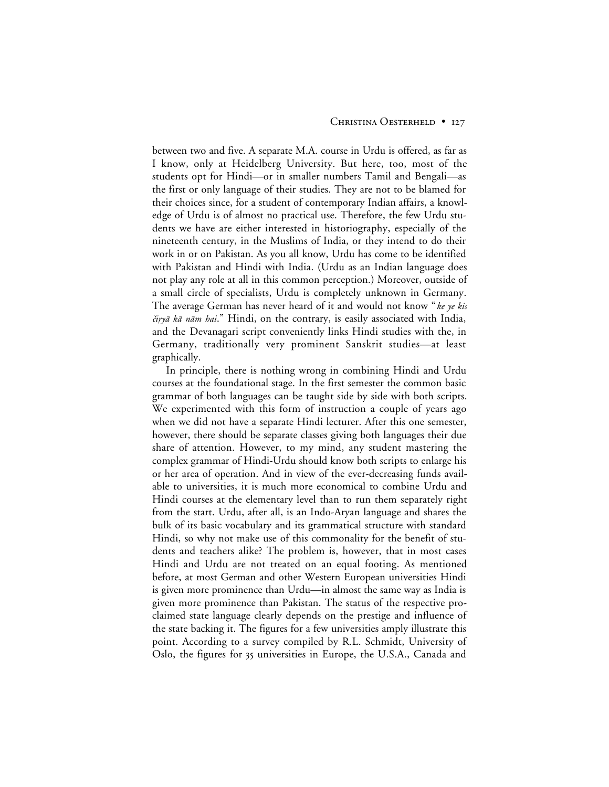### CHRISTINA OESTERHELD . I27

between two and five. A separate M.A. course in Urdu is offered, as far as I know, only at Heidelberg University. But here, too, most of the students opt for Hindi—or in smaller numbers Tamil and Bengali—as the first or only language of their studies. They are not to be blamed for their choices since, for a student of contemporary Indian affairs, a knowledge of Urdu is of almost no practical use. Therefore, the few Urdu students we have are either interested in historiography, especially of the nineteenth century, in the Muslims of India, or they intend to do their work in or on Pakistan. As you all know, Urdu has come to be identified with Pakistan and Hindi with India. (Urdu as an Indian language does not play any role at all in this common perception.) Moreover, outside of a small circle of specialists, Urdu is completely unknown in Germany. The average German has never heard of it and would not know " ke ye kis čiryā kā nām hai." Hindi, on the contrary, is easily associated with India, and the Devanagari script conveniently links Hindi studies with the, in Germany, traditionally very prominent Sanskrit studies—at least graphically.

In principle, there is nothing wrong in combining Hindi and Urdu courses at the foundational stage. In the first semester the common basic grammar of both languages can be taught side by side with both scripts. We experimented with this form of instruction a couple of years ago when we did not have a separate Hindi lecturer. After this one semester, however, there should be separate classes giving both languages their due share of attention. However, to my mind, any student mastering the complex grammar of Hindi-Urdu should know both scripts to enlarge his or her area of operation. And in view of the ever-decreasing funds available to universities, it is much more economical to combine Urdu and Hindi courses at the elementary level than to run them separately right from the start. Urdu, after all, is an Indo-Aryan language and shares the bulk of its basic vocabulary and its grammatical structure with standard Hindi, so why not make use of this commonality for the benefit of students and teachers alike? The problem is, however, that in most cases Hindi and Urdu are not treated on an equal footing. As mentioned before, at most German and other Western European universities Hindi is given more prominence than Urdu—in almost the same way as India is given more prominence than Pakistan. The status of the respective proclaimed state language clearly depends on the prestige and influence of the state backing it. The figures for a few universities amply illustrate this point. According to a survey compiled by R.L. Schmidt, University of Oslo, the figures for 35 universities in Europe, the U.S.A., Canada and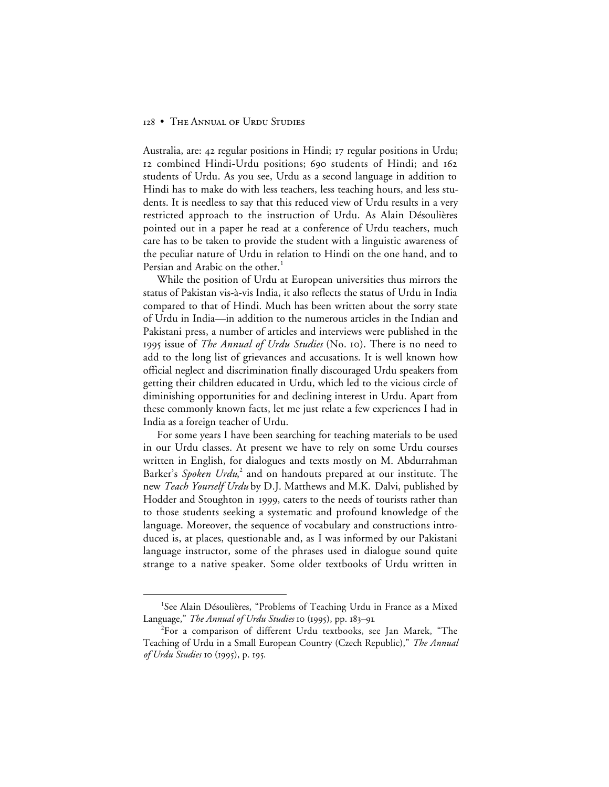Australia, are: 42 regular positions in Hindi; 17 regular positions in Urdu; 12 combined Hindi-Urdu positions; 690 students of Hindi; and 162 students of Urdu. As you see, Urdu as a second language in addition to Hindi has to make do with less teachers, less teaching hours, and less students. It is needless to say that this reduced view of Urdu results in a very restricted approach to the instruction of Urdu. As Alain Désoulières pointed out in a paper he read at a conference of Urdu teachers, much care has to be taken to provide the student with a linguistic awareness of the peculiar nature of Urdu in relation to Hindi on the one hand, and to Persian and Arabic on the other.<sup>1</sup>

While the position of Urdu at European universities thus mirrors the status of Pakistan vis-à-vis India, it also reflects the status of Urdu in India compared to that of Hindi. Much has been written about the sorry state of Urdu in India—in addition to the numerous articles in the Indian and Pakistani press, a number of articles and interviews were published in the 1995 issue of *The Annual of Urdu Studies* (No. 10). There is no need to add to the long list of grievances and accusations. It is well known how official neglect and discrimination finally discouraged Urdu speakers from getting their children educated in Urdu, which led to the vicious circle of diminishing opportunities for and declining interest in Urdu. Apart from these commonly known facts, let me just relate a few experiences I had in India as a foreign teacher of Urdu.

For some years I have been searching for teaching materials to be used in our Urdu classes. At present we have to rely on some Urdu courses written in English, for dialogues and texts mostly on M. Abdurrahman Barker's *Spoken Urdu*, <sup>2</sup> and on handouts prepared at our institute. The new *Teach Yourself Urdu* by D.J. Matthews and M.K. Dalvi, published by Hodder and Stoughton in 1999, caters to the needs of tourists rather than to those students seeking a systematic and profound knowledge of the language. Moreover, the sequence of vocabulary and constructions introduced is, at places, questionable and, as I was informed by our Pakistani language instructor, some of the phrases used in dialogue sound quite strange to a native speaker. Some older textbooks of Urdu written in

 <sup>1</sup> <sup>1</sup>See Alain Désoulières, "Problems of Teaching Urdu in France as a Mixed Language," The Annual of Urdu Studies 10 (1995), pp. 183-91.

<sup>2</sup> For a comparison of different Urdu textbooks, see Jan Marek, "The Teaching of Urdu in a Small European Country (Czech Republic)," *The Annual of Urdu Studies* 10 (1995), p. 195.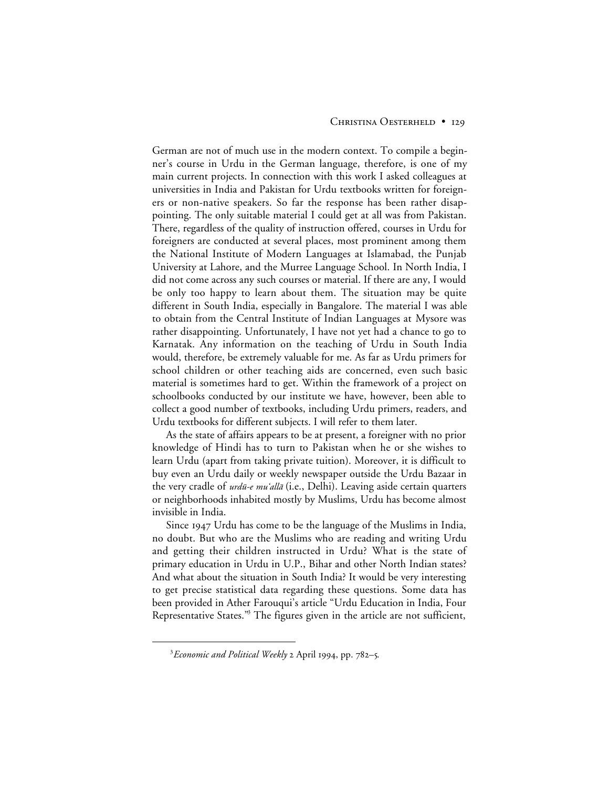#### CHRISTINA OESTERHELD • 129

German are not of much use in the modern context. To compile a beginner's course in Urdu in the German language, therefore, is one of my main current projects. In connection with this work I asked colleagues at universities in India and Pakistan for Urdu textbooks written for foreigners or non-native speakers. So far the response has been rather disappointing. The only suitable material I could get at all was from Pakistan. There, regardless of the quality of instruction offered, courses in Urdu for foreigners are conducted at several places, most prominent among them the National Institute of Modern Languages at Islamabad, the Punjab University at Lahore, and the Murree Language School. In North India, I did not come across any such courses or material. If there are any, I would be only too happy to learn about them. The situation may be quite different in South India, especially in Bangalore. The material I was able to obtain from the Central Institute of Indian Languages at Mysore was rather disappointing. Unfortunately, I have not yet had a chance to go to Karnatak. Any information on the teaching of Urdu in South India would, therefore, be extremely valuable for me. As far as Urdu primers for school children or other teaching aids are concerned, even such basic material is sometimes hard to get. Within the framework of a project on schoolbooks conducted by our institute we have, however, been able to collect a good number of textbooks, including Urdu primers, readers, and Urdu textbooks for different subjects. I will refer to them later.

As the state of affairs appears to be at present, a foreigner with no prior knowledge of Hindi has to turn to Pakistan when he or she wishes to learn Urdu (apart from taking private tuition). Moreover, it is difficult to buy even an Urdu daily or weekly newspaper outside the Urdu Bazaar in the very cradle of *urdū-e mu'allā* (i.e., Delhi). Leaving aside certain quarters or neighborhoods inhabited mostly by Muslims, Urdu has become almost invisible in India.

Since 1947 Urdu has come to be the language of the Muslims in India, no doubt. But who are the Muslims who are reading and writing Urdu and getting their children instructed in Urdu? What is the state of primary education in Urdu in U.P., Bihar and other North Indian states? And what about the situation in South India? It would be very interesting to get precise statistical data regarding these questions. Some data has been provided in Ather Farouqui's article "Urdu Education in India, Four Representative States.<sup>33</sup> The figures given in the article are not sufficient,

 $\frac{1}{3}$ <sup>3</sup> Economic and Political Weekly 2 April 1994, pp. 782-5.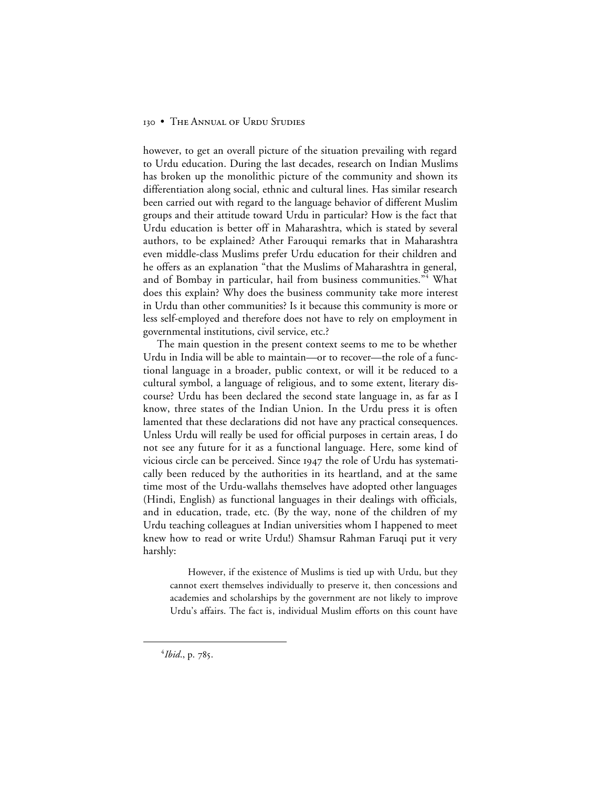however, to get an overall picture of the situation prevailing with regard to Urdu education. During the last decades, research on Indian Muslims has broken up the monolithic picture of the community and shown its differentiation along social, ethnic and cultural lines. Has similar research been carried out with regard to the language behavior of different Muslim groups and their attitude toward Urdu in particular? How is the fact that Urdu education is better off in Maharashtra, which is stated by several authors, to be explained? Ather Farouqui remarks that in Maharashtra even middle-class Muslims prefer Urdu education for their children and he offers as an explanation "that the Muslims of Maharashtra in general, and of Bombay in particular, hail from business communities."<sup>4</sup> What does this explain? Why does the business community take more interest in Urdu than other communities? Is it because this community is more or less self-employed and therefore does not have to rely on employment in governmental institutions, civil service, etc.?

The main question in the present context seems to me to be whether Urdu in India will be able to maintain—or to recover—the role of a functional language in a broader, public context, or will it be reduced to a cultural symbol, a language of religious, and to some extent, literary discourse? Urdu has been declared the second state language in, as far as I know, three states of the Indian Union. In the Urdu press it is often lamented that these declarations did not have any practical consequences. Unless Urdu will really be used for official purposes in certain areas, I do not see any future for it as a functional language. Here, some kind of vicious circle can be perceived. Since  $1947$  the role of Urdu has systematically been reduced by the authorities in its heartland, and at the same time most of the Urdu-wallahs themselves have adopted other languages (Hindi, English) as functional languages in their dealings with officials, and in education, trade, etc. (By the way, none of the children of my Urdu teaching colleagues at Indian universities whom I happened to meet knew how to read or write Urdu!) Shamsur Rahman Faruqi put it very harshly:

However, if the existence of Muslims is tied up with Urdu, but they cannot exert themselves individually to preserve it, then concessions and academies and scholarships by the government are not likely to improve Urdu's affairs. The fact is, individual Muslim efforts on this count have

 $\overline{4}$ <sup>4</sup>*Ibid.*, p. 785.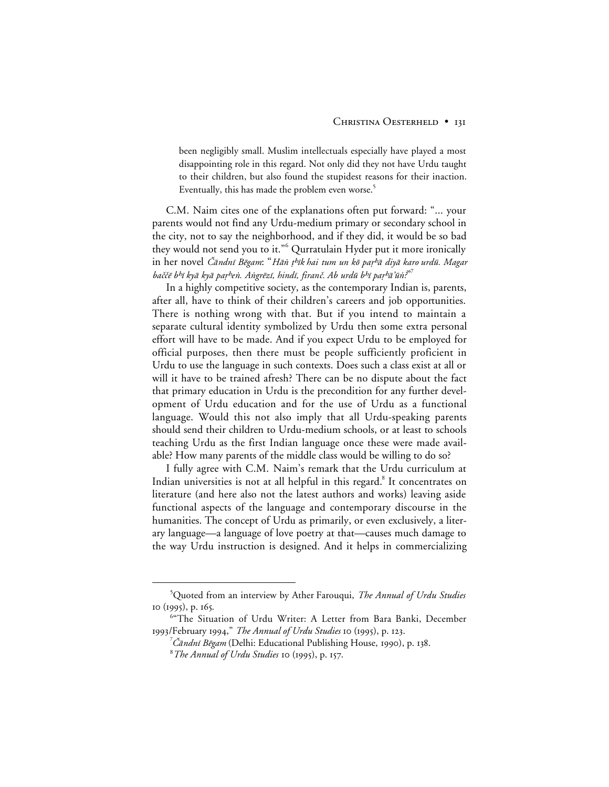been negligibly small. Muslim intellectuals especially have played a most disappointing role in this regard. Not only did they not have Urdu taught to their children, but also found the stupidest reasons for their inaction. Eventually, this has made the problem even worse.<sup>5</sup>

C.M. Naim cites one of the explanations often put forward: "... your parents would not find any Urdu-medium primary or secondary school in the city, not to say the neighborhood, and if they did, it would be so bad they would not send you to it."<sup>6</sup> Qurratulain Hyder put it more ironically in her novel *Čāndnī Bēgam*: "Hān t<sup>h</sup>īk hai tum un kō par<sup>h</sup>ā diyā karo urdū. Magar baččē b<sup>h</sup>ī kyā kyā paṛ<sup>h</sup>eṅ. Aṅgrēzī, hindī, firanč. Ab urdū b<sup>h</sup>ī paṛ<sup>h</sup>āʾūṅ?"<sup>7</sup>

In a highly competitive society, as the contemporary Indian is, parents, after all, have to think of their children's careers and job opportunities. There is nothing wrong with that. But if you intend to maintain a separate cultural identity symbolized by Urdu then some extra personal effort will have to be made. And if you expect Urdu to be employed for official purposes, then there must be people sufficiently proficient in Urdu to use the language in such contexts. Does such a class exist at all or will it have to be trained afresh? There can be no dispute about the fact that primary education in Urdu is the precondition for any further development of Urdu education and for the use of Urdu as a functional language. Would this not also imply that all Urdu-speaking parents should send their children to Urdu-medium schools, or at least to schools teaching Urdu as the first Indian language once these were made available? How many parents of the middle class would be willing to do so?

I fully agree with C.M. Naim's remark that the Urdu curriculum at Indian universities is not at all helpful in this regard.<sup>8</sup> It concentrates on literature (and here also not the latest authors and works) leaving aside functional aspects of the language and contemporary discourse in the humanities. The concept of Urdu as primarily, or even exclusively, a literary language—a language of love poetry at that—causes much damage to the way Urdu instruction is designed. And it helps in commercializing

 $\frac{1}{5}$ Quoted from an interview by Ather Farouqui, *The Annual of Urdu Studies* 10 (1995), p. 165.

<sup>6</sup> "The Situation of Urdu Writer: A Letter from Bara Banki, December 1993/February 1994," *The Annual of Urdu Studies* 10 (1995), p. 123.

<sup>′</sup>*Cāndnī Bēgam* (Delhi: Educational Publishing House, 1990), p. 138.

<sup>&</sup>lt;sup>8</sup>The Annual of Urdu Studies 10 (1995), p. 157.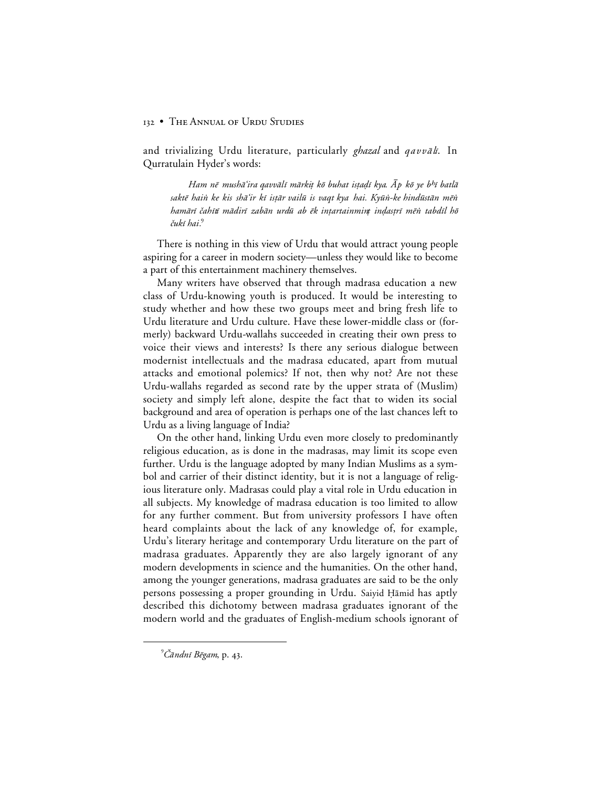and trivializing Urdu literature, particularly *ghazal* and *qavvālī*. In Qurratulain Hyder's words:

Ham nē mushā'ira qavvālī mārkit kō buhat istadī kya. Āp kō ye b<sup>h</sup>ī batlā saktē hain ke kis shāʻir kī istār vailū is vaqt kya hai. Kyūn-ke hindūstān mēn hamārī čahītī mādirī zabān urdū ab ēk intartainmint indastrī mēn tabdīl hō čukī hai.<sup>9</sup>

There is nothing in this view of Urdu that would attract young people aspiring for a career in modern society—unless they would like to become a part of this entertainment machinery themselves.

Many writers have observed that through madrasa education a new class of Urdu-knowing youth is produced. It would be interesting to study whether and how these two groups meet and bring fresh life to Urdu literature and Urdu culture. Have these lower-middle class or (formerly) backward Urdu-wallahs succeeded in creating their own press to voice their views and interests? Is there any serious dialogue between modernist intellectuals and the madrasa educated, apart from mutual attacks and emotional polemics? If not, then why not? Are not these Urdu-wallahs regarded as second rate by the upper strata of (Muslim) society and simply left alone, despite the fact that to widen its social background and area of operation is perhaps one of the last chances left to Urdu as a living language of India?

On the other hand, linking Urdu even more closely to predominantly religious education, as is done in the madrasas, may limit its scope even further. Urdu is the language adopted by many Indian Muslims as a symbol and carrier of their distinct identity, but it is not a language of religious literature only. Madrasas could play a vital role in Urdu education in all subjects. My knowledge of madrasa education is too limited to allow for any further comment. But from university professors I have often heard complaints about the lack of any knowledge of, for example, Urdu's literary heritage and contemporary Urdu literature on the part of madrasa graduates. Apparently they are also largely ignorant of any modern developments in science and the humanities. On the other hand, among the younger generations, madrasa graduates are said to be the only persons possessing a proper grounding in Urdu. Saiyid Hāmid has aptly described this dichotomy between madrasa graduates ignorant of the modern world and the graduates of English-medium schools ignorant of

 $\overline{a}$ 

 $^{\circ}$ Čāndnī Bēgam, p. 43.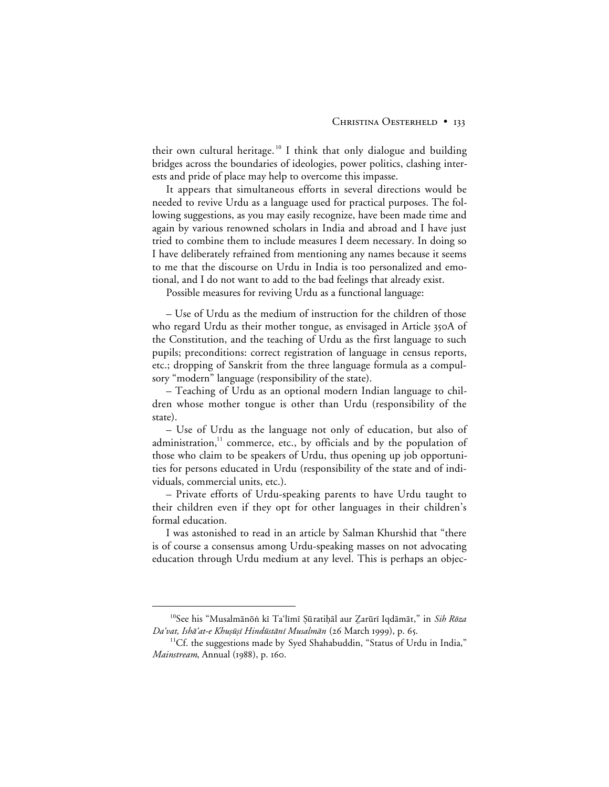their own cultural heritage.<sup>10</sup> I think that only dialogue and building bridges across the boundaries of ideologies, power politics, clashing interests and pride of place may help to overcome this impasse.

It appears that simultaneous efforts in several directions would be needed to revive Urdu as a language used for practical purposes. The following suggestions, as you may easily recognize, have been made time and again by various renowned scholars in India and abroad and I have just tried to combine them to include measures I deem necessary. In doing so I have deliberately refrained from mentioning any names because it seems to me that the discourse on Urdu in India is too personalized and emotional, and I do not want to add to the bad feelings that already exist.

Possible measures for reviving Urdu as a functional language:

– Use of Urdu as the medium of instruction for the children of those who regard Urdu as their mother tongue, as envisaged in Article 350A of the Constitution, and the teaching of Urdu as the first language to such pupils; preconditions: correct registration of language in census reports, etc.; dropping of Sanskrit from the three language formula as a compulsory "modern" language (responsibility of the state).

– Teaching of Urdu as an optional modern Indian language to children whose mother tongue is other than Urdu (responsibility of the state).

– Use of Urdu as the language not only of education, but also of administration, $11$  commerce, etc., by officials and by the population of those who claim to be speakers of Urdu, thus opening up job opportunities for persons educated in Urdu (responsibility of the state and of individuals, commercial units, etc.).

– Private efforts of Urdu-speaking parents to have Urdu taught to their children even if they opt for other languages in their children's formal education.

I was astonished to read in an article by Salman Khurshid that "there is of course a consensus among Urdu-speaking masses on not advocating education through Urdu medium at any level. This is perhaps an objec-

 <sup>10</sup>See his "Musalm≥nå- kµ Ta'lµmµ ¿∑rati√≥l aur ‰ar∑rµ Iqd≥m≥t," in Sih Råza Da'vat, Ishā'at-e Khuṣūṣī Hindūstānī Musalmān (26 March 1999), p. 65.

<sup>11</sup>Cf. the suggestions made by Syed Shahabuddin, "Status of Urdu in India," *Mainstream*, Annual (1988), p. 160.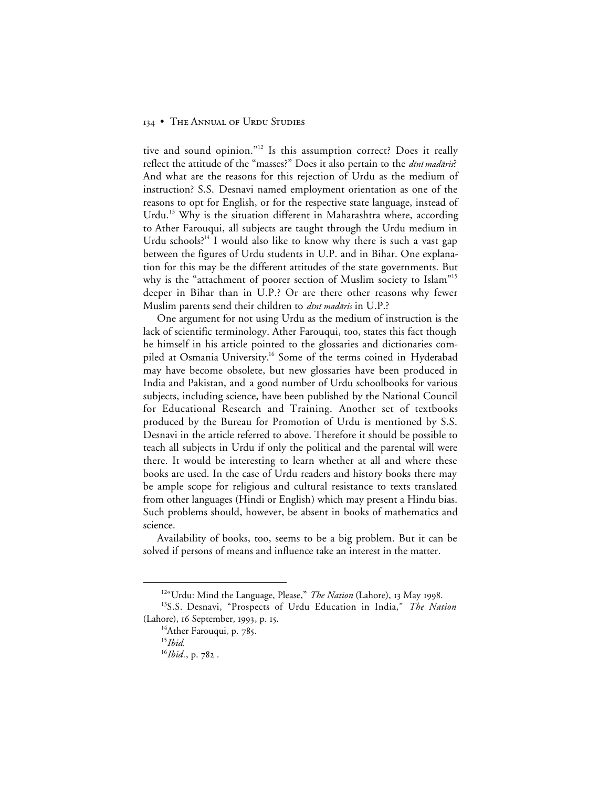tive and sound opinion."12 Is this assumption correct? Does it really reflect the attitude of the "masses?" Does it also pertain to the dini madāris? And what are the reasons for this rejection of Urdu as the medium of instruction? S.S. Desnavi named employment orientation as one of the reasons to opt for English, or for the respective state language, instead of Urdu.<sup>13</sup> Why is the situation different in Maharashtra where, according to Ather Farouqui, all subjects are taught through the Urdu medium in Urdu schools?<sup>14</sup> I would also like to know why there is such a vast gap between the figures of Urdu students in U.P. and in Bihar. One explanation for this may be the different attitudes of the state governments. But why is the "attachment of poorer section of Muslim society to Islam"<sup>15</sup> deeper in Bihar than in U.P.? Or are there other reasons why fewer Muslim parents send their children to *dīnī madāris* in U.P.?

One argument for not using Urdu as the medium of instruction is the lack of scientific terminology. Ather Farouqui, too, states this fact though he himself in his article pointed to the glossaries and dictionaries compiled at Osmania University.<sup>16</sup> Some of the terms coined in Hyderabad may have become obsolete, but new glossaries have been produced in India and Pakistan, and a good number of Urdu schoolbooks for various subjects, including science, have been published by the National Council for Educational Research and Training. Another set of textbooks produced by the Bureau for Promotion of Urdu is mentioned by S.S. Desnavi in the article referred to above. Therefore it should be possible to teach all subjects in Urdu if only the political and the parental will were there. It would be interesting to learn whether at all and where these books are used. In the case of Urdu readers and history books there may be ample scope for religious and cultural resistance to texts translated from other languages (Hindi or English) which may present a Hindu bias. Such problems should, however, be absent in books of mathematics and science.

Availability of books, too, seems to be a big problem. But it can be solved if persons of means and influence take an interest in the matter.

<sup>&</sup>lt;sup>12"</sup>Urdu: Mind the Language, Please," *The Nation* (Lahore), 13 May 1998.

<sup>13</sup>S.S. Desnavi, "Prospects of Urdu Education in India," *The Nation* (Lahore), 16 September, 1993, p. 15.

<sup>&</sup>lt;sup>14</sup>Ather Farouqui, p. 785.

<sup>15</sup>*Ibid.*

<sup>&</sup>lt;sup>16</sup>*Ibid.*, p. 782.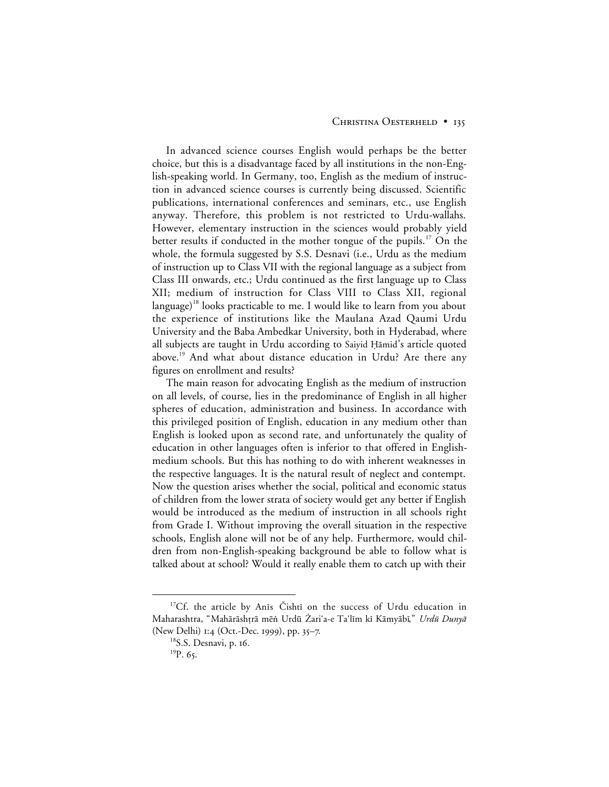#### CHRISTINA OESTERHELD • 135

In advanced science courses English would perhaps be the better choice, but this is a disadvantage faced by all institutions in the non-English-speaking world. In Germany, too, English as the medium of instruction in advanced science courses is currently being discussed. Scientific publications, international conferences and seminars, etc., use English anyway. Therefore, this problem is not restricted to Urdu-wallahs. However, elementary instruction in the sciences would probably yield better results if conducted in the mother tongue of the pupils.<sup>17</sup> On the whole, the formula suggested by S.S. Desnavi (i.e., Urdu as the medium of instruction up to Class VII with the regional language as a subject from Class III onwards, etc.; Urdu continued as the first language up to Class XII; medium of instruction for Class VIII to Class XII, regional language)<sup>18</sup> looks practicable to me. I would like to learn from you about the experience of institutions like the Maulana Azad Qaumi Urdu University and the Baba Ambedkar University, both in Hyderabad, where all subjects are taught in Urdu according to Saiyid Hāmid's article quoted above.<sup>19</sup> And what about distance education in Urdu? Are there any figures on enrollment and results?

The main reason for advocating English as the medium of instruction on all levels, of course, lies in the predominance of English in all higher spheres of education, administration and business. In accordance with this privileged position of English, education in any medium other than English is looked upon as second rate, and unfortunately the quality of education in other languages often is inferior to that offered in Englishmedium schools. But this has nothing to do with inherent weaknesses in the respective languages. It is the natural result of neglect and contempt. Now the question arises whether the social, political and economic status of children from the lower strata of society would get any better if English would be introduced as the medium of instruction in all schools right from Grade I. Without improving the overall situation in the respective schools, English alone will not be of any help. Furthermore, would children from non-English-speaking background be able to follow what is talked about at school? Would it really enable them to catch up with their

<sup>&</sup>lt;sup>17</sup>Cf. the article by Anis Čishti on the success of Urdu education in Maharashtra, "Mahārāshṭrā mēṅ Urdū Żari'a-e Ta'līm kī Kāmyābī," *Urdū Dunyā* (New Delhi)  $1:4$  (Oct.-Dec. 1999), pp. 35–7.

<sup>&</sup>lt;sup>18</sup>S.S. Desnavi, p. 16.

 $^{19}P.65.$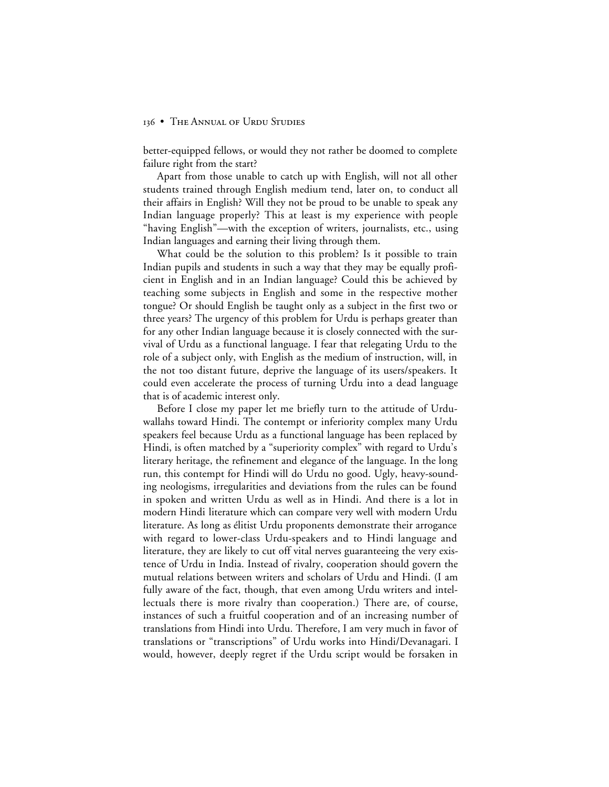better-equipped fellows, or would they not rather be doomed to complete failure right from the start?

Apart from those unable to catch up with English, will not all other students trained through English medium tend, later on, to conduct all their affairs in English? Will they not be proud to be unable to speak any Indian language properly? This at least is my experience with people "having English"—with the exception of writers, journalists, etc., using Indian languages and earning their living through them.

What could be the solution to this problem? Is it possible to train Indian pupils and students in such a way that they may be equally proficient in English and in an Indian language? Could this be achieved by teaching some subjects in English and some in the respective mother tongue? Or should English be taught only as a subject in the first two or three years? The urgency of this problem for Urdu is perhaps greater than for any other Indian language because it is closely connected with the survival of Urdu as a functional language. I fear that relegating Urdu to the role of a subject only, with English as the medium of instruction, will, in the not too distant future, deprive the language of its users/speakers. It could even accelerate the process of turning Urdu into a dead language that is of academic interest only.

Before I close my paper let me briefly turn to the attitude of Urduwallahs toward Hindi. The contempt or inferiority complex many Urdu speakers feel because Urdu as a functional language has been replaced by Hindi, is often matched by a "superiority complex" with regard to Urdu's literary heritage, the refinement and elegance of the language. In the long run, this contempt for Hindi will do Urdu no good. Ugly, heavy-sounding neologisms, irregularities and deviations from the rules can be found in spoken and written Urdu as well as in Hindi. And there is a lot in modern Hindi literature which can compare very well with modern Urdu literature. As long as élitist Urdu proponents demonstrate their arrogance with regard to lower-class Urdu-speakers and to Hindi language and literature, they are likely to cut off vital nerves guaranteeing the very existence of Urdu in India. Instead of rivalry, cooperation should govern the mutual relations between writers and scholars of Urdu and Hindi. (I am fully aware of the fact, though, that even among Urdu writers and intellectuals there is more rivalry than cooperation.) There are, of course, instances of such a fruitful cooperation and of an increasing number of translations from Hindi into Urdu. Therefore, I am very much in favor of translations or "transcriptions" of Urdu works into Hindi/Devanagari. I would, however, deeply regret if the Urdu script would be forsaken in